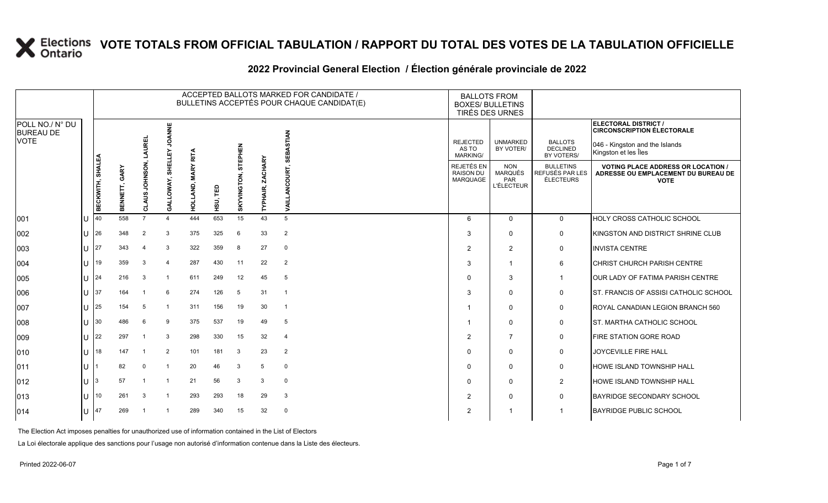|                                                    |  |                  |                 |                       |                       |                       |                  |                        |                            | ACCEPTED BALLOTS MARKED FOR CANDIDATE /<br>BULLETINS ACCEPTÉS POUR CHAQUE CANDIDAT(E) | <b>BALLOTS FROM</b>                         | <b>BOXES/ BULLETINS</b><br>TIRÉS DES URNES               |                                                         |                                                                                                                     |
|----------------------------------------------------|--|------------------|-----------------|-----------------------|-----------------------|-----------------------|------------------|------------------------|----------------------------|---------------------------------------------------------------------------------------|---------------------------------------------|----------------------------------------------------------|---------------------------------------------------------|---------------------------------------------------------------------------------------------------------------------|
| POLL NO./ N° DU<br><b>BUREAU DE</b><br><b>VOTE</b> |  |                  |                 | LAUREL                | <b>JOANNE</b><br>모    | <b>RITA</b>           |                  | <b>STEPHEN</b>         |                            | <b>STIAN</b><br>핑                                                                     | <b>REJECTED</b><br>AS TO<br><b>MARKING/</b> | <b>UNMARKED</b><br>BY VOTER/                             | <b>BALLOTS</b><br><b>DECLINED</b><br>BY VOTERS/         | ELECTORAL DISTRICT /<br><b>CIRCONSCRIPTION ÉLECTORALE</b><br>046 - Kingston and the Islands<br>Kingston et les Îles |
|                                                    |  | BECKWITH, SHALEA | GARY<br>BENNETT | NOSNHOL<br>S<br>CLAUS | SHELLI<br>LOWAY,<br>इ | <b>MARY</b><br>ó<br>힢 | ΓĒ<br><b>HSD</b> | GTON,<br><b>BKYVIN</b> | <b>ZACHARY</b><br>TYPHAIR, | ā<br>ō<br>Š                                                                           | REJETÉS EN<br><b>RAISON DU</b><br>MARQUAGE  | <b>NON</b><br><b>MARQUÉS</b><br>PAR<br><b>L'ÉLECTEUR</b> | <b>BULLETINS</b><br>REFUSÉS PAR LES<br><b>ÉLECTEURS</b> | <b>VOTING PLACE ADDRESS OR LOCATION /</b><br>ADRESSE OU EMPLACEMENT DU BUREAU DE<br><b>VOTE</b>                     |
| 001                                                |  | 40               | 558             | $\overline{7}$        | $\boldsymbol{\Delta}$ | 444                   | 653              | 15                     | 43                         | 5                                                                                     | 6                                           | $\mathbf 0$                                              | $\mathbf 0$                                             | HOLY CROSS CATHOLIC SCHOOL                                                                                          |
| 002                                                |  | 26               | 348             | $\overline{2}$        | -3                    | 375                   | 325              | 6                      | 33                         | 2                                                                                     | 3                                           | $\Omega$                                                 | $\mathbf 0$                                             | KINGSTON AND DISTRICT SHRINE CLUB                                                                                   |
| 003                                                |  | 27               | 343             | 4                     | 3                     | 322                   | 359              | 8                      | 27                         | $\mathbf 0$                                                                           | $\overline{2}$                              | 2                                                        | $\mathbf 0$                                             | <b>INVISTA CENTRE</b>                                                                                               |
| 004                                                |  | 19               | 359             | 3                     | $\Delta$              | 287                   | 430              | 11                     | 22                         | 2                                                                                     | 3                                           | $\overline{\mathbf{1}}$                                  | 6                                                       | CHRIST CHURCH PARISH CENTRE                                                                                         |
| 005                                                |  | 24               | 216             | 3                     |                       | 611                   | 249              | 12                     | 45                         | 5                                                                                     | $\Omega$                                    | 3                                                        | $\overline{\mathbf{1}}$                                 | OUR LADY OF FATIMA PARISH CENTRE                                                                                    |
| 006                                                |  | 37               | 164             |                       | 6                     | 274                   | 126              | 5                      | 31                         | -1                                                                                    | 3                                           | $\Omega$                                                 | $\mathbf 0$                                             | ST. FRANCIS OF ASSISI CATHOLIC SCHOOL                                                                               |
| 007                                                |  | 25               | 154             | 5                     |                       | 311                   | 156              | 19                     | 30                         | $\overline{1}$                                                                        | -1                                          | $\mathbf 0$                                              | $\mathbf 0$                                             | ROYAL CANADIAN LEGION BRANCH 560                                                                                    |
| 008                                                |  | 30               | 486             | 6                     | 9                     | 375                   | 537              | 19                     | 49                         | 5                                                                                     |                                             | $\mathbf 0$                                              | $\mathbf 0$                                             | <b>ST. MARTHA CATHOLIC SCHOOL</b>                                                                                   |
| 009                                                |  | 22               | 297             |                       | 3                     | 298                   | 330              | 15                     | 32                         | $\overline{4}$                                                                        | $\overline{2}$                              | $\overline{7}$                                           | $\mathbf 0$                                             | <b>FIRE STATION GORE ROAD</b>                                                                                       |
| 010                                                |  | 18               | 147             |                       | $\overline{2}$        | 101                   | 181              | 3                      | 23                         | $\overline{2}$                                                                        | $\Omega$                                    | $\mathbf 0$                                              | $\mathbf 0$                                             | <b>JOYCEVILLE FIRE HALL</b>                                                                                         |
| 011                                                |  |                  | 82              | $\Omega$              |                       | 20                    | 46               | 3                      | 5                          | $\mathbf 0$                                                                           | $\Omega$                                    | $\mathbf 0$                                              | $\mathbf 0$                                             | HOWE ISLAND TOWNSHIP HALL                                                                                           |
| 012                                                |  |                  | 57              | -1                    | -1                    | 21                    | 56               | 3                      | 3                          | $\mathbf 0$                                                                           | $\Omega$                                    | $\Omega$                                                 | $\overline{2}$                                          | HOWE ISLAND TOWNSHIP HALL                                                                                           |
| 013                                                |  | 10               | 261             | 3                     | -1                    | 293                   | 293              | 18                     | 29                         | 3                                                                                     | 2                                           | $\Omega$                                                 | $\Omega$                                                | <b>BAYRIDGE SECONDARY SCHOOL</b>                                                                                    |
| 014                                                |  | 47               | 269             |                       |                       | 289                   | 340              | 15                     | 32                         | $\mathbf 0$                                                                           | 2                                           |                                                          | -1                                                      | <b>BAYRIDGE PUBLIC SCHOOL</b>                                                                                       |

### **2022 Provincial General Election / Élection générale provinciale de 2022**

The Election Act imposes penalties for unauthorized use of information contained in the List of Electors

La Loi électorale applique des sanctions pour l'usage non autorisé d'information contenue dans la Liste des électeurs.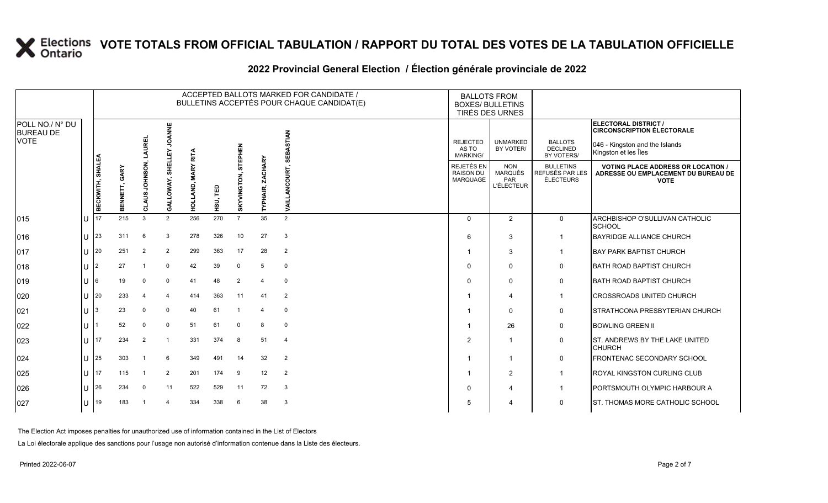|                                                    |         |                  |                  |                                                 |                         |                    |                |                |                            | ACCEPTED BALLOTS MARKED FOR CANDIDATE /<br>BULLETINS ACCEPTÉS POUR CHAQUE CANDIDAT(E) | <b>BALLOTS FROM</b><br><b>BOXES/ BULLETINS</b><br><b>TIRÉS DES URNES</b> |                                                          |                                                         |                                                                                                                     |
|----------------------------------------------------|---------|------------------|------------------|-------------------------------------------------|-------------------------|--------------------|----------------|----------------|----------------------------|---------------------------------------------------------------------------------------|--------------------------------------------------------------------------|----------------------------------------------------------|---------------------------------------------------------|---------------------------------------------------------------------------------------------------------------------|
| POLL NO./ N° DU<br><b>BUREAU DE</b><br><b>VOTE</b> |         |                  |                  | <b>AUREL</b>                                    | <b>JOANNE</b><br>모      | <b>RITA</b>        |                | STEPHEN        |                            | <b>STIAN</b><br>á<br>핑                                                                | <b>REJECTED</b><br>AS TO<br>MARKING/                                     | <b>UNMARKED</b><br>BY VOTER/                             | <b>BALLOTS</b><br><b>DECLINED</b><br>BY VOTERS/         | ELECTORAL DISTRICT /<br><b>CIRCONSCRIPTION ÉLECTORALE</b><br>046 - Kingston and the Islands<br>Kingston et les Îles |
|                                                    |         | BECKWITH, SHALEA | GARY<br>BENNETT, | <b>NOSNHOL</b><br>S<br>ë<br>S<br>$\overline{o}$ | SHELLI<br>ALLOWAY,<br>Ö | kΣ<br>Ā<br>D,<br>딯 | ΓED<br>์<br>ระ | SKYVINGTON,    | <b>ZACHARY</b><br>TYPHAIR, | OURT.<br>₹                                                                            | REJETÉS EN<br><b>RAISON DU</b><br>MARQUAGE                               | <b>NON</b><br><b>MARQUÉS</b><br>PAR<br><b>L'ÉLECTEUR</b> | <b>BULLETINS</b><br>REFUSÉS PAR LES<br><b>ÉLECTEURS</b> | <b>VOTING PLACE ADDRESS OR LOCATION /</b><br>ADRESSE OU EMPLACEMENT DU BUREAU DE<br><b>VOTE</b>                     |
| 015                                                |         | 17               | 215              | 3                                               | $\overline{2}$          | 256                | 270            | $\overline{7}$ | 35                         | $\overline{2}$                                                                        | $\Omega$                                                                 | 2                                                        | $\mathbf 0$                                             | ARCHBISHOP O'SULLIVAN CATHOLIC<br><b>SCHOOL</b>                                                                     |
| 016                                                |         | 23               | 311              | 6                                               | 3                       | 278                | 326            | 10             | 27                         | 3                                                                                     | 6                                                                        | 3                                                        | -1                                                      | <b>BAYRIDGE ALLIANCE CHURCH</b>                                                                                     |
| 017                                                |         | 20               | 251              | $\overline{2}$                                  | $\overline{2}$          | 299                | 363            | 17             | 28                         | $\overline{2}$                                                                        | -1                                                                       | 3                                                        | $\overline{1}$                                          | <b>BAY PARK BAPTIST CHURCH</b>                                                                                      |
| 018                                                |         | $\overline{2}$   | 27               | -1                                              | $\Omega$                | 42                 | 39             | $\mathbf 0$    | 5                          | $\mathbf 0$                                                                           | $\Omega$                                                                 | $\Omega$                                                 | $\mathbf 0$                                             | <b>BATH ROAD BAPTIST CHURCH</b>                                                                                     |
| 019                                                |         | 6                | 19               | $\Omega$                                        | $\Omega$                | 41                 | 48             | 2              | $\overline{4}$             | $\mathbf 0$                                                                           | $\Omega$                                                                 | $\mathbf 0$                                              | $\mathbf 0$                                             | <b>BATH ROAD BAPTIST CHURCH</b>                                                                                     |
| 020                                                |         | 20               | 233              | 4                                               | $\overline{4}$          | 414                | 363            | 11             | 41                         | 2                                                                                     | -1                                                                       | $\overline{4}$                                           | $\overline{\mathbf{1}}$                                 | <b>CROSSROADS UNITED CHURCH</b>                                                                                     |
| 021                                                |         |                  | 23               | $\Omega$                                        | $\Omega$                | 40                 | 61             |                | $\overline{4}$             | $\mathbf 0$                                                                           |                                                                          | $\mathbf 0$                                              | $\mathbf 0$                                             | STRATHCONA PRESBYTERIAN CHURCH                                                                                      |
| 022                                                |         |                  | 52               | $\Omega$                                        | $\Omega$                | 51                 | 61             | $\Omega$       | 8                          | $\mathbf 0$                                                                           | -1                                                                       | 26                                                       | 0                                                       | <b>BOWLING GREEN II</b>                                                                                             |
| 023                                                |         | 17               | 234              | $\overline{2}$                                  | -1                      | 331                | 374            | 8              | 51                         | $\overline{4}$                                                                        | $\overline{2}$                                                           | -1                                                       | $\mathbf 0$                                             | ST. ANDREWS BY THE LAKE UNITED<br><b>CHURCH</b>                                                                     |
| 024                                                |         | 25               | 303              |                                                 | 6                       | 349                | 491            | 14             | 32                         | $\overline{2}$                                                                        | -1                                                                       | $\overline{1}$                                           | 0                                                       | FRONTENAC SECONDARY SCHOOL                                                                                          |
| 025                                                |         | 17               | 115              |                                                 | 2                       | 201                | 174            | 9              | 12                         | 2                                                                                     |                                                                          | 2                                                        | $\overline{\mathbf{1}}$                                 | ROYAL KINGSTON CURLING CLUB                                                                                         |
| 026                                                |         | 26               | 234              | $\Omega$                                        | 11                      | 522                | 529            | 11             | 72                         | 3                                                                                     | $\Omega$                                                                 | $\overline{4}$                                           | -1                                                      | PORTSMOUTH OLYMPIC HARBOUR A                                                                                        |
| 027                                                | $11$ 19 |                  | 183              |                                                 | $\Delta$                | 334                | 338            | 6              | 38                         | 3                                                                                     | 5                                                                        | 4                                                        | $\Omega$                                                | ST. THOMAS MORE CATHOLIC SCHOOL                                                                                     |
|                                                    |         |                  |                  |                                                 |                         |                    |                |                |                            |                                                                                       |                                                                          |                                                          |                                                         |                                                                                                                     |

### **2022 Provincial General Election / Élection générale provinciale de 2022**

The Election Act imposes penalties for unauthorized use of information contained in the List of Electors

La Loi électorale applique des sanctions pour l'usage non autorisé d'information contenue dans la Liste des électeurs.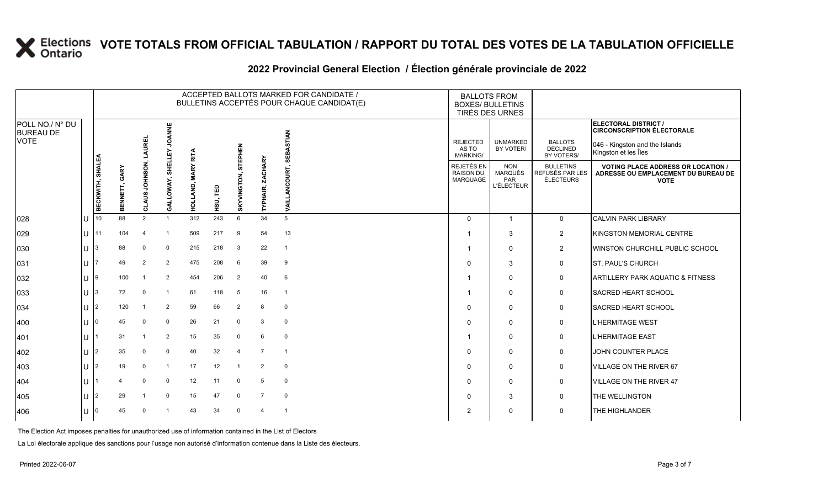## **2022 Provincial General Election / Élection générale provinciale de 2022**

|                                     |   |                  |                  |                         |                   |                              |          |                        |                                   | ACCEPTED BALLOTS MARKED FOR CANDIDATE /<br>BULLETINS ACCEPTÉS POUR CHAQUE CANDIDAT(E) |                                                                                                                                | <b>BALLOTS FROM</b><br><b>BOXES/ BULLETINS</b><br>TIRÉS DES URNES |                                                         |                                                                                                 |  |
|-------------------------------------|---|------------------|------------------|-------------------------|-------------------|------------------------------|----------|------------------------|-----------------------------------|---------------------------------------------------------------------------------------|--------------------------------------------------------------------------------------------------------------------------------|-------------------------------------------------------------------|---------------------------------------------------------|-------------------------------------------------------------------------------------------------|--|
| POLL NO./ N° DU<br><b>BUREAU DE</b> |   |                  |                  |                         | <b>JOANNE</b>     |                              |          |                        |                                   | <b>STIAN</b>                                                                          |                                                                                                                                |                                                                   |                                                         | ELECTORAL DISTRICT /<br><b>CIRCONSCRIPTION ÉLECTORALE</b>                                       |  |
| VOTE                                |   |                  |                  | AUREI                   | GALLOWAY, SHELLEY |                              |          | STEPHEN                |                                   | з<br>5EI                                                                              | <b>BALLOTS</b><br><b>REJECTED</b><br><b>UNMARKED</b><br><b>DECLINED</b><br>BY VOTER/<br>AS TO<br><b>MARKING/</b><br>BY VOTERS/ |                                                                   |                                                         | 046 - Kingston and the Islands<br>Kingston et les Îles                                          |  |
|                                     |   | BECKWITH, SHALEA | GARY<br>BENNETT, | <b>DSNHOL</b><br>CLAUS. |                   | <b>MARY RITA</b><br>HOLLAND, | HSU, TED | GTON,<br><b>SKYVIN</b> | <b>HARY</b><br>5<br><b>TYPHAI</b> | ā<br>Ī                                                                                | REJETÉS EN<br><b>RAISON DU</b><br>MARQUAGE                                                                                     | <b>NON</b><br><b>MARQUÉS</b><br>PAR<br><b>L'ÉLECTEUR</b>          | <b>BULLETINS</b><br>REFUSÉS PAR LES<br><b>ÉLECTEURS</b> | <b>VOTING PLACE ADDRESS OR LOCATION /</b><br>ADRESSE OU EMPLACEMENT DU BUREAU DE<br><b>VOTE</b> |  |
| 028                                 |   | 10               | 88               | $\overline{2}$          |                   | 312                          | 243      | 6                      | 34                                | 5                                                                                     | $\Omega$                                                                                                                       | $\overline{1}$                                                    | $\mathbf 0$                                             | <b>CALVIN PARK LIBRARY</b>                                                                      |  |
| 029                                 | U |                  | 104              | 4                       |                   | 509                          | 217      | 9                      | 54                                | 13                                                                                    |                                                                                                                                | 3                                                                 | $\overline{2}$                                          | KINGSTON MEMORIAL CENTRE                                                                        |  |
| 030                                 |   |                  | 88               | 0                       | $\Omega$          | 215                          | 218      | 3                      | 22                                | $\overline{1}$                                                                        |                                                                                                                                | $\mathbf 0$                                                       | $\overline{2}$                                          | WINSTON CHURCHILL PUBLIC SCHOOL                                                                 |  |
| 031                                 |   |                  | 49               | 2                       | 2                 | 475                          | 208      | 6                      | 39                                | 9                                                                                     | $\Omega$                                                                                                                       | 3                                                                 | 0                                                       | <b>ST. PAUL'S CHURCH</b>                                                                        |  |
| 032                                 |   | l 9              | 100              |                         | 2                 | 454                          | 206      | $\overline{2}$         | 40                                | 6                                                                                     |                                                                                                                                | $\mathbf 0$                                                       | 0                                                       | <b>ARTILLERY PARK AQUATIC &amp; FITNESS</b>                                                     |  |
| 033                                 |   |                  | 72               | $\Omega$                |                   | 61                           | 118      | 5                      | 16                                | $\overline{1}$                                                                        |                                                                                                                                | $\mathbf 0$                                                       | $\mathbf 0$                                             | <b>SACRED HEART SCHOOL</b>                                                                      |  |
| 034                                 |   |                  | 120              |                         | 2                 | 59                           | 66       | $\overline{2}$         | 8                                 | $\mathbf 0$                                                                           | $\Omega$                                                                                                                       | $\mathbf 0$                                                       | 0                                                       | SACRED HEART SCHOOL                                                                             |  |
| 400                                 |   | I٥               | 45               | $\mathbf 0$             | $\mathbf 0$       | 26                           | 21       | $\mathbf 0$            | 3                                 | $\mathbf 0$                                                                           | $\Omega$                                                                                                                       | $\mathbf 0$                                                       | 0                                                       | L'HERMITAGE WEST                                                                                |  |
| 401                                 |   |                  | 31               |                         | 2                 | 15                           | 35       | $\mathbf 0$            | 6                                 | $\mathbf 0$                                                                           |                                                                                                                                | $\mathbf 0$                                                       | $\mathbf 0$                                             | <b>L'HERMITAGE EAST</b>                                                                         |  |
| 402                                 |   |                  | 35               | 0                       | $\Omega$          | 40                           | 32       | $\overline{4}$         | $\overline{7}$                    | -1                                                                                    | $\Omega$                                                                                                                       | $\mathbf 0$                                                       | 0                                                       | JOHN COUNTER PLACE                                                                              |  |
| 403                                 |   |                  | 19               | $\mathbf 0$             |                   | 17                           | 12       | $\overline{1}$         | 2                                 | $\mathbf 0$                                                                           | $\Omega$                                                                                                                       | $\mathbf 0$                                                       | 0                                                       | VILLAGE ON THE RIVER 67                                                                         |  |
| 404                                 |   |                  |                  | $\Omega$                | $\Omega$          | 12                           | 11       | $\mathbf 0$            | 5                                 | $\mathbf 0$                                                                           | $\Omega$                                                                                                                       | $\mathbf 0$                                                       | 0                                                       | <b>VILLAGE ON THE RIVER 47</b>                                                                  |  |
| 405                                 |   |                  | 29               |                         | $\Omega$          | 15                           | 47       | $\mathbf 0$            | $\overline{7}$                    | $\mathbf 0$                                                                           | $\Omega$                                                                                                                       | 3                                                                 | 0                                                       | THE WELLINGTON                                                                                  |  |
| 406                                 |   |                  | 45               | 0                       |                   | 43                           | 34       | $\mathbf 0$            | $\overline{4}$                    | $\overline{1}$                                                                        | $\overline{2}$                                                                                                                 | $\mathbf 0$                                                       | $\mathbf 0$                                             | <b>THE HIGHLANDER</b>                                                                           |  |

The Election Act imposes penalties for unauthorized use of information contained in the List of Electors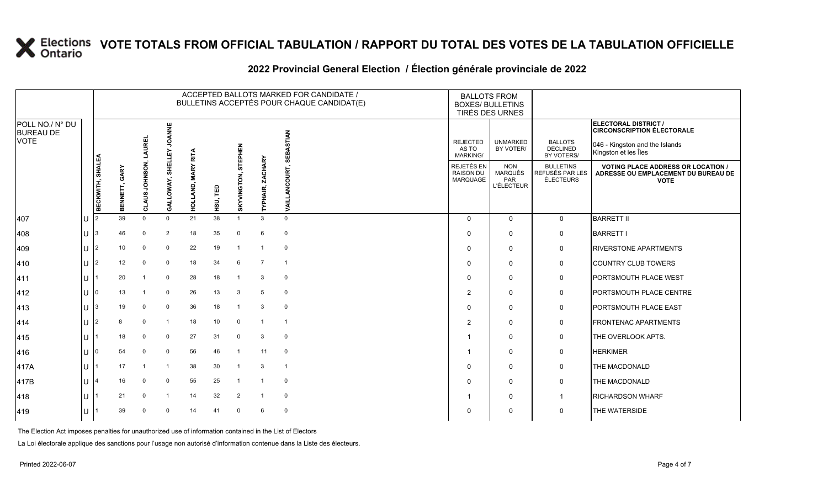## **2022 Provincial General Election / Élection générale provinciale de 2022**

|                                     |       |                         |                                   |                                    |                |                         |          |                     |                            | ACCEPTED BALLOTS MARKED FOR CANDIDATE /<br>BULLETINS ACCEPTÉS POUR CHAQUE CANDIDAT(E) | <b>BALLOTS FROM</b><br><b>BOXES/ BULLETINS</b><br>TIRÉS DES URNES |                                                          |                                                         |                                                                                                 |
|-------------------------------------|-------|-------------------------|-----------------------------------|------------------------------------|----------------|-------------------------|----------|---------------------|----------------------------|---------------------------------------------------------------------------------------|-------------------------------------------------------------------|----------------------------------------------------------|---------------------------------------------------------|-------------------------------------------------------------------------------------------------|
| POLL NO./ N° DU<br><b>BUREAU DE</b> |       |                         |                                   |                                    | <b>JOANNE</b>  |                         |          |                     |                            |                                                                                       |                                                                   |                                                          |                                                         | ELECTORAL DISTRICT /<br><b>CIRCONSCRIPTION ÉLECTORALE</b>                                       |
| <b>VOTE</b>                         |       |                         |                                   | <b>AUREL</b><br>JOHNSON,<br>CLAUS. | SHELLEY        | <b>RITA</b>             |          |                     |                            | <b>STIAN</b><br>Š<br>핆<br>OURT,<br>ō<br><b>TIRA</b>                                   | <b>REJECTED</b><br>AS TO<br><b>MARKING/</b>                       | <b>UNMARKED</b><br>BY VOTER/                             | <b>BALLOTS</b><br><b>DECLINED</b><br>BY VOTERS/         | 046 - Kingston and the Islands<br>Kingston et les Îles                                          |
|                                     |       | <b>BECKWITH, SHALEA</b> | GARY<br>ENNETT,<br>$\overline{m}$ |                                    | GALLOWAY,      | <b>MARY</b><br>HOLLAND, | HSU, TED | SKYVINGTON, STEPHEN | <b>ZACHARY</b><br>TYPHAIR, |                                                                                       | REJETÉS EN<br><b>RAISON DU</b><br><b>MARQUAGE</b>                 | <b>NON</b><br><b>MARQUÉS</b><br>PAR<br><b>L'ÉLECTEUR</b> | <b>BULLETINS</b><br>REFUSÉS PAR LES<br><b>ÉLECTEURS</b> | <b>VOTING PLACE ADDRESS OR LOCATION /</b><br>ADRESSE OU EMPLACEMENT DU BUREAU DE<br><b>VOTE</b> |
| 407                                 | ПJ    | I2                      | 39                                | $\Omega$                           | $\Omega$       | 21                      | 38       |                     | 3                          | $\Omega$                                                                              | $\Omega$                                                          | $\mathbf{0}$                                             | $\mathbf{0}$                                            | <b>BARRETT II</b>                                                                               |
| 408                                 | lU.   | 13                      | 46                                | $\mathbf 0$                        | $\overline{2}$ | 18                      | 35       | $\mathbf 0$         | 6                          | $\mathbf 0$                                                                           | 0                                                                 | $\Omega$                                                 | 0                                                       | <b>BARRETT I</b>                                                                                |
| 409                                 | ΙU    | 12                      | 10                                | 0                                  | $\mathbf{0}$   | 22                      | 19       | $\overline{1}$      | $\mathbf{1}$               | $\mathbf 0$                                                                           | $\Omega$                                                          | $\mathbf 0$                                              | 0                                                       | <b>RIVERSTONE APARTMENTS</b>                                                                    |
| 410                                 | ПJ    | I2                      | 12                                | $\mathbf 0$                        | $\mathbf 0$    | 18                      | 34       | 6                   | $\overline{7}$             | $\overline{1}$                                                                        | $\Omega$                                                          | $\mathbf{0}$                                             | 0                                                       | <b>COUNTRY CLUB TOWERS</b>                                                                      |
| 411                                 | lU.   |                         | 20                                | -1                                 | $\mathbf 0$    | 28                      | 18       | $\overline{1}$      | 3                          | $\mathbf 0$                                                                           | $\Omega$                                                          | $\Omega$                                                 | 0                                                       | <b>PORTSMOUTH PLACE WEST</b>                                                                    |
| 412                                 |       |                         | 13                                |                                    | $\mathbf 0$    | 26                      | 13       | 3                   | 5                          | $\mathbf 0$                                                                           | 2                                                                 | 0                                                        | 0                                                       | PORTSMOUTH PLACE CENTRE                                                                         |
| 413                                 | IU.   |                         | 19                                | $\mathbf 0$                        | $\mathbf 0$    | 36                      | 18       | $\mathbf{1}$        | 3                          | $\overline{0}$                                                                        | $\Omega$                                                          | $\mathbf{0}$                                             | 0                                                       | <b>PORTSMOUTH PLACE EAST</b>                                                                    |
| 414                                 | IU.   | 12                      | 8                                 | $\mathbf 0$                        | $\mathbf 1$    | 18                      | 10       | $\mathbf 0$         | $\overline{1}$             | $\overline{1}$                                                                        | $\overline{2}$                                                    | $\mathbf 0$                                              | 0                                                       | <b>FRONTENAC APARTMENTS</b>                                                                     |
| 415                                 | lU.   |                         | 18                                | $\mathbf 0$                        | $\Omega$       | 27                      | 31       | $\mathbf 0$         | 3                          | $\mathbf 0$                                                                           | -1                                                                | $\Omega$                                                 | 0                                                       | THE OVERLOOK APTS.                                                                              |
| 416                                 | ЦJ    |                         | 54                                | $\mathbf 0$                        | $\mathbf 0$    | 56                      | 46       | $\overline{1}$      | 11                         | $\overline{0}$                                                                        | -1                                                                | $\Omega$                                                 | 0                                                       | <b>HERKIMER</b>                                                                                 |
| 417A                                | lU.   |                         | 17                                |                                    | -1             | 38                      | 30       |                     | 3                          | $\overline{1}$                                                                        | $\Omega$                                                          | $\mathbf 0$                                              | 0                                                       | THE MACDONALD                                                                                   |
| 417B                                | lU.   |                         | 16                                | $\mathbf 0$                        | $\Omega$       | 55                      | 25       |                     | $\overline{1}$             | $\mathbf 0$                                                                           | $\mathbf{0}$                                                      | $\mathbf 0$                                              | 0                                                       | THE MACDONALD                                                                                   |
| 418                                 | 1 L L |                         | 21                                | $\mathbf 0$                        | $\mathbf{1}$   | 14                      | 32       | 2                   | $\mathbf{1}$               | $\mathbf 0$                                                                           | -1                                                                | $\mathbf{0}$                                             | $\mathbf{1}$                                            | <b>RICHARDSON WHARF</b>                                                                         |
| 419                                 | IU.   |                         | 39                                | $\mathbf 0$                        | $\mathbf 0$    | 14                      | 41       | $\mathbf 0$         | 6                          | $\overline{0}$                                                                        | $\Omega$                                                          | 0                                                        | 0                                                       | THE WATERSIDE                                                                                   |
|                                     |       |                         |                                   |                                    |                |                         |          |                     |                            |                                                                                       |                                                                   |                                                          |                                                         |                                                                                                 |

The Election Act imposes penalties for unauthorized use of information contained in the List of Electors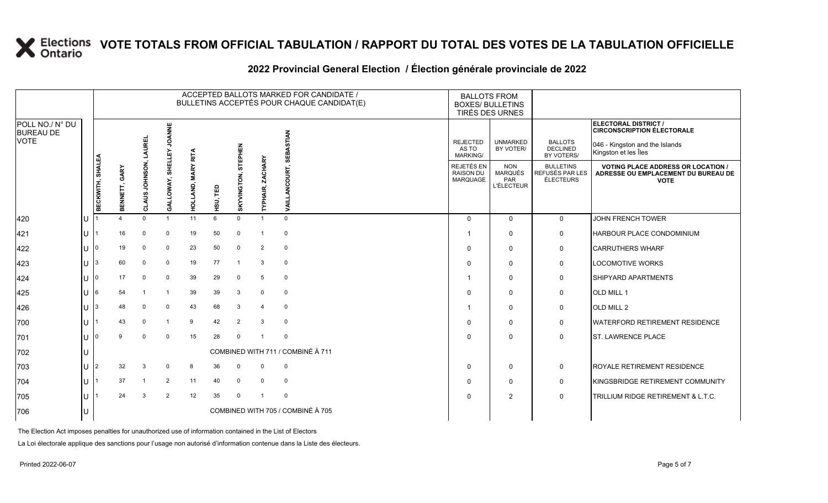## **2022 Provincial General Election / Élection générale provinciale de 2022**

|                                                    |     |                         |                  |                                  |                      |                              |          |                              |                            | ACCEPTED BALLOTS MARKED FOR CANDIDATE /<br>BULLETINS ACCEPTÉS POUR CHAQUE CANDIDAT(E) |                                                                                                                                                                                   | <b>BALLOTS FROM</b><br><b>BOXES/ BULLETINS</b><br>TIRÉS DES URNES |                                                  |                                                                                                 |
|----------------------------------------------------|-----|-------------------------|------------------|----------------------------------|----------------------|------------------------------|----------|------------------------------|----------------------------|---------------------------------------------------------------------------------------|-----------------------------------------------------------------------------------------------------------------------------------------------------------------------------------|-------------------------------------------------------------------|--------------------------------------------------|-------------------------------------------------------------------------------------------------|
| POLL NO./ N° DU<br><b>BUREAU DE</b><br><b>VOTE</b> |     |                         |                  |                                  | <b>JOANNE</b>        |                              |          |                              |                            |                                                                                       |                                                                                                                                                                                   |                                                                   |                                                  | ELECTORAL DISTRICT /<br><b>CIRCONSCRIPTION ÉLECTORALE</b>                                       |
|                                                    |     |                         |                  | <b>AUREL</b><br>NOSNHOL<br>CLAUS |                      |                              |          | <b>STEPHEN</b>               |                            | <b>STIAN</b><br>Š<br>핆                                                                | <b>REJECTED</b><br><b>UNMARKED</b><br><b>BALLOTS</b><br>046 - Kingston and the Islands<br>BY VOTER/<br><b>DECLINED</b><br>AS TO<br>Kingston et les Îles<br>BY VOTERS/<br>MARKING/ |                                                                   |                                                  |                                                                                                 |
|                                                    |     | <b>BECKWITH, SHALEA</b> | GARY<br>BENNETT, |                                  | SHELLEY<br>GALLOWAY, | <b>MARY RITA</b><br>HOLLAND, | HSU, TED | GTON,<br>KYVING<br>$\bar{a}$ | <b>ZACHARY</b><br>TYPHAIR, | <b>OURT</b><br>⋗                                                                      | REJETÉS EN<br><b>RAISON DU</b><br>MARQUAGE                                                                                                                                        | <b>NON</b><br><b>MARQUÉS</b><br>PAR<br><b>L'ÉLECTEUR</b>          | <b>BULLETINS</b><br>REFUSÉS PAR LES<br>ÉLECTEURS | <b>VOTING PLACE ADDRESS OR LOCATION /</b><br>ADRESSE OU EMPLACEMENT DU BUREAU DE<br><b>VOTE</b> |
| 420                                                | lu  |                         |                  | $\Omega$                         | $\overline{1}$       | 11                           | 6        | $\Omega$                     | $\overline{1}$             | $\Omega$                                                                              | $\Omega$                                                                                                                                                                          | $\Omega$                                                          | $\mathbf 0$                                      | JOHN FRENCH TOWER                                                                               |
| 421                                                | lu  |                         | 16               | $\mathbf 0$                      | $\mathbf 0$          | 19                           | 50       | $\mathbf 0$                  | -1                         | 0                                                                                     |                                                                                                                                                                                   | $\Omega$                                                          | $\mathbf 0$                                      | HARBOUR PLACE CONDOMINIUM                                                                       |
| 422                                                | lu  |                         | 19               | $\Omega$                         | $\Omega$             | 23                           | 50       | $\mathbf 0$                  | 2                          | 0                                                                                     | $\Omega$                                                                                                                                                                          | $\mathbf 0$                                                       | $\mathbf 0$                                      | <b>CARRUTHERS WHARF</b>                                                                         |
| 423                                                | ΙU  |                         | 60               | $\Omega$                         | $\mathbf 0$          | 19                           | 77       | $\overline{1}$               | 3                          | $\mathbf 0$                                                                           |                                                                                                                                                                                   | $\mathbf 0$                                                       | $\mathbf 0$                                      | <b>LOCOMOTIVE WORKS</b>                                                                         |
| 424                                                | lu  |                         | 17               | $\mathbf 0$                      | $\mathbf 0$          | 39                           | 29       | $\mathbf 0$                  | 5                          | 0                                                                                     |                                                                                                                                                                                   | $\mathbf 0$                                                       | $\mathbf 0$                                      | SHIPYARD APARTMENTS                                                                             |
| 425                                                | lu  |                         | 54               |                                  |                      | 39                           | 39       | 3                            | $\mathbf 0$                | 0                                                                                     | $\Omega$                                                                                                                                                                          | $\mathbf 0$                                                       | $\mathbf 0$                                      | OLD MILL 1                                                                                      |
| 426                                                | lu  |                         | 48               | $\mathbf 0$                      | $\Omega$             | 43                           | 68       | 3                            | $\Delta$                   | $\mathbf 0$                                                                           |                                                                                                                                                                                   | $\mathbf 0$                                                       | $\mathbf 0$                                      | OLD MILL 2                                                                                      |
| 700                                                | lu  |                         | 43               | $\mathbf 0$                      | -1                   | 9                            | 42       | 2                            | 3                          | $\mathbf 0$                                                                           | $\Omega$                                                                                                                                                                          | $\mathbf 0$                                                       | $\mathbf 0$                                      | <b>WATERFORD RETIREMENT RESIDENCE</b>                                                           |
| 701                                                | lu  |                         | 9                | $\Omega$                         | $\Omega$             | 15                           | 28       | $\Omega$                     | $\overline{1}$             | 0                                                                                     | ∩                                                                                                                                                                                 | $\mathbf 0$                                                       | $\mathbf 0$                                      | <b>ST. LAWRENCE PLACE</b>                                                                       |
| 702                                                | lu  |                         |                  |                                  |                      |                              |          |                              |                            | COMBINED WITH 711 / COMBINÉ À 711                                                     |                                                                                                                                                                                   |                                                                   |                                                  |                                                                                                 |
| 703                                                | Iυ. | 2                       | 32               | 3                                | $\Omega$             | 8                            | 36       | $\Omega$                     | $\mathbf 0$                | 0                                                                                     | $\Omega$                                                                                                                                                                          | $\mathbf 0$                                                       | $\mathbf 0$                                      | ROYALE RETIREMENT RESIDENCE                                                                     |
| 704                                                | lu  |                         | 37               |                                  | 2                    | 11                           | 40       | $\mathbf 0$                  | 0                          | 0                                                                                     | $\Omega$                                                                                                                                                                          | $\mathbf 0$                                                       | $\mathsf{O}$                                     | KINGSBRIDGE RETIREMENT COMMUNITY                                                                |
| 705                                                | lu  |                         | 24               | 3                                | 2                    | 12                           | 35       | $\Omega$                     |                            | $\Omega$                                                                              |                                                                                                                                                                                   | $\overline{2}$                                                    | $\mathbf 0$                                      | TRILLIUM RIDGE RETIREMENT & L.T.C.                                                              |
| 706                                                | IU  |                         |                  |                                  |                      |                              |          |                              |                            | COMBINED WITH 705 / COMBINÉ À 705                                                     |                                                                                                                                                                                   |                                                                   |                                                  |                                                                                                 |

The Election Act imposes penalties for unauthorized use of information contained in the List of Electors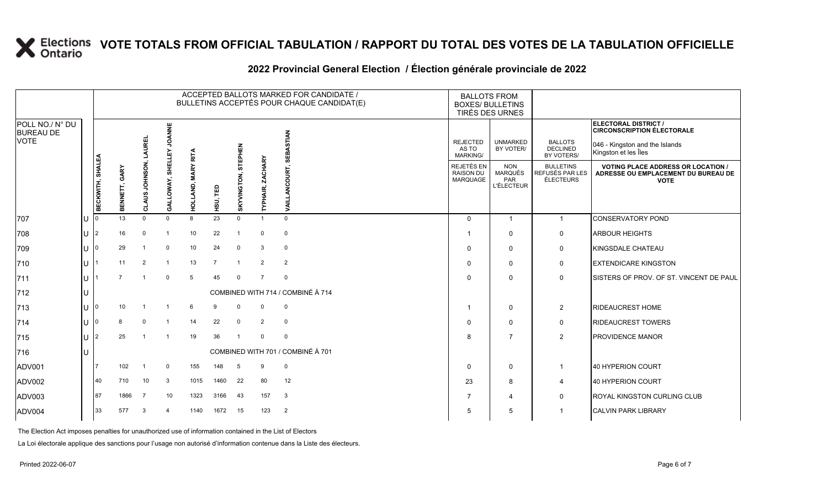### **2022 Provincial General Election / Élection générale provinciale de 2022**

|                                                    |     |                  |                  |                               |                      |                            |                |                |                            | ACCEPTED BALLOTS MARKED FOR CANDIDATE /<br>BULLETINS ACCEPTÉS POUR CHAQUE CANDIDAT(E)                                                           | <b>BOXES/ BULLETINS</b>                    | <b>BALLOTS FROM</b><br>TIRÉS DES URNES                 |                                                         |                                                                                                                                                                                                                                                     |
|----------------------------------------------------|-----|------------------|------------------|-------------------------------|----------------------|----------------------------|----------------|----------------|----------------------------|-------------------------------------------------------------------------------------------------------------------------------------------------|--------------------------------------------|--------------------------------------------------------|---------------------------------------------------------|-----------------------------------------------------------------------------------------------------------------------------------------------------------------------------------------------------------------------------------------------------|
| POLL NO./ N° DU<br><b>BUREAU DE</b><br><b>VOTE</b> |     |                  |                  | <b>AUREL</b><br>CLAUS JOHNSON | <b>JOANNE</b>        |                            |                |                |                            |                                                                                                                                                 |                                            |                                                        |                                                         | ELECTORAL DISTRICT /<br><b>CIRCONSCRIPTION ÉLECTORALE</b>                                                                                                                                                                                           |
|                                                    |     |                  |                  |                               |                      |                            |                | STEPHEN        |                            | <b>STIAN</b><br><b>REJECTED</b><br><b>UNMARKED</b><br><b>BALLOTS</b><br><b>DECLINED</b><br>AS TO<br>BY VOTER/<br>SEBA<br>BY VOTERS/<br>MARKING/ |                                            | 046 - Kingston and the Islands<br>Kingston et les Îles |                                                         |                                                                                                                                                                                                                                                     |
|                                                    |     | BECKWITH, SHALEA | GARY<br>BENNETT, |                               | SHELLEY<br>GALLOWAY, | <b>MARY RITA</b><br>HOLLAN | HSU, TED       | SKYVINGTON,    | <b>ZACHARY</b><br>TYPHAIR, | <b>DURT.</b><br>χ                                                                                                                               | REJETÉS EN<br><b>RAISON DU</b><br>MARQUAGE | <b>NON</b><br>MARQUÉS<br>PAR<br><b>L'ÉLECTEUR</b>      | <b>BULLETINS</b><br>REFUSÉS PAR LES<br><b>ÉLECTEURS</b> | <b>VOTING PLACE ADDRESS OR LOCATION /</b><br>ADRESSE OU EMPLACEMENT DU BUREAU DE<br><b>VOTE</b><br>CONSERVATORY POND<br><b>ARBOUR HEIGHTS</b><br><b>KINGSDALE CHATEAU</b><br><b>EXTENDICARE KINGSTON</b><br>SISTERS OF PROV. OF ST. VINCENT DE PAUL |
| 707                                                | lU. |                  | 13               | $\Omega$                      | $\Omega$             | 8                          | 23             | $\Omega$       |                            | $\Omega$                                                                                                                                        | $\mathbf{0}$                               |                                                        | $\mathbf{1}$                                            |                                                                                                                                                                                                                                                     |
| 708                                                | Iυ  | 2                | 16               | $\Omega$                      | $\overline{1}$       | 10                         | 22             |                | 0                          | $\mathbf 0$                                                                                                                                     |                                            | $\mathbf 0$                                            | $\mathbf 0$                                             |                                                                                                                                                                                                                                                     |
| 709                                                | ΙU  | ١n               | 29               |                               | $\Omega$             | 10                         | 24             | $\mathbf 0$    | 3                          | $\mathbf 0$                                                                                                                                     | $\Omega$                                   | $\Omega$                                               | $\mathbf 0$                                             |                                                                                                                                                                                                                                                     |
| 710                                                | lU. |                  | 11               | 2                             | $\overline{1}$       | 13                         | $\overline{7}$ | $\overline{1}$ | $\overline{2}$             | 2                                                                                                                                               | $\Omega$                                   | $\Omega$                                               | $\mathbf 0$                                             |                                                                                                                                                                                                                                                     |
| 711                                                | ΙU  |                  | $\overline{7}$   |                               | $\mathbf 0$          | 5                          | 45             | $\mathbf 0$    | $\overline{7}$             | $\mathbf 0$                                                                                                                                     | $\Omega$                                   | $\mathbf{0}$                                           | $\mathbf 0$                                             |                                                                                                                                                                                                                                                     |
| 712                                                | ΙU  |                  |                  |                               |                      |                            |                |                |                            | COMBINED WITH 714 / COMBINÉ À 714                                                                                                               |                                            |                                                        |                                                         |                                                                                                                                                                                                                                                     |
| 713                                                | lul | ۱0               | 10               |                               |                      | 6                          | 9              | $\Omega$       | $\Omega$                   | $\mathbf 0$                                                                                                                                     | -1                                         | $\mathbf{0}$                                           | $\overline{2}$                                          | <b>RIDEAUCREST HOME</b>                                                                                                                                                                                                                             |
| 714                                                | lU. |                  | 8                | $\Omega$                      | $\overline{1}$       | 14                         | 22             | $\mathbf 0$    | $\overline{2}$             | $\mathbf 0$                                                                                                                                     | $\Omega$                                   | 0                                                      | $\mathbf 0$                                             | <b>RIDEAUCREST TOWERS</b>                                                                                                                                                                                                                           |
| 715                                                | lul | 12               | 25               |                               |                      | 19                         | 36             |                | $\Omega$                   | $\mathbf 0$                                                                                                                                     | 8                                          | $\overline{7}$                                         | $\overline{c}$                                          | PROVIDENCE MANOR                                                                                                                                                                                                                                    |
| 716                                                | ΙU  |                  |                  |                               |                      |                            |                |                |                            | COMBINED WITH 701 / COMBINÉ À 701                                                                                                               |                                            |                                                        |                                                         |                                                                                                                                                                                                                                                     |
| ADV001                                             |     |                  | 102              |                               | 0                    | 155                        | 148            | 5              | 9                          | $\mathbf 0$                                                                                                                                     | $\Omega$                                   | $\mathbf 0$                                            |                                                         | 40 HYPERION COURT                                                                                                                                                                                                                                   |
| ADV002                                             |     | 40               | 710              | 10                            | 3                    | 1015                       | 1460           | 22             | 80                         | 12                                                                                                                                              | 23                                         | 8                                                      | $\overline{4}$                                          | 40 HYPERION COURT                                                                                                                                                                                                                                   |
| ADV003                                             |     | 87               | 1866             | $\overline{7}$                | 10                   | 1323                       | 3166           | 43             | 157                        | $\mathbf{3}$                                                                                                                                    | $\overline{7}$                             | 4                                                      | $\mathbf 0$                                             | ROYAL KINGSTON CURLING CLUB                                                                                                                                                                                                                         |
| ADV004                                             |     | 33               | 577              | 3                             |                      | 1140                       | 1672           | 15             | 123                        | $\overline{2}$                                                                                                                                  | 5                                          | 5                                                      |                                                         | <b>CALVIN PARK LIBRARY</b>                                                                                                                                                                                                                          |

The Election Act imposes penalties for unauthorized use of information contained in the List of Electors